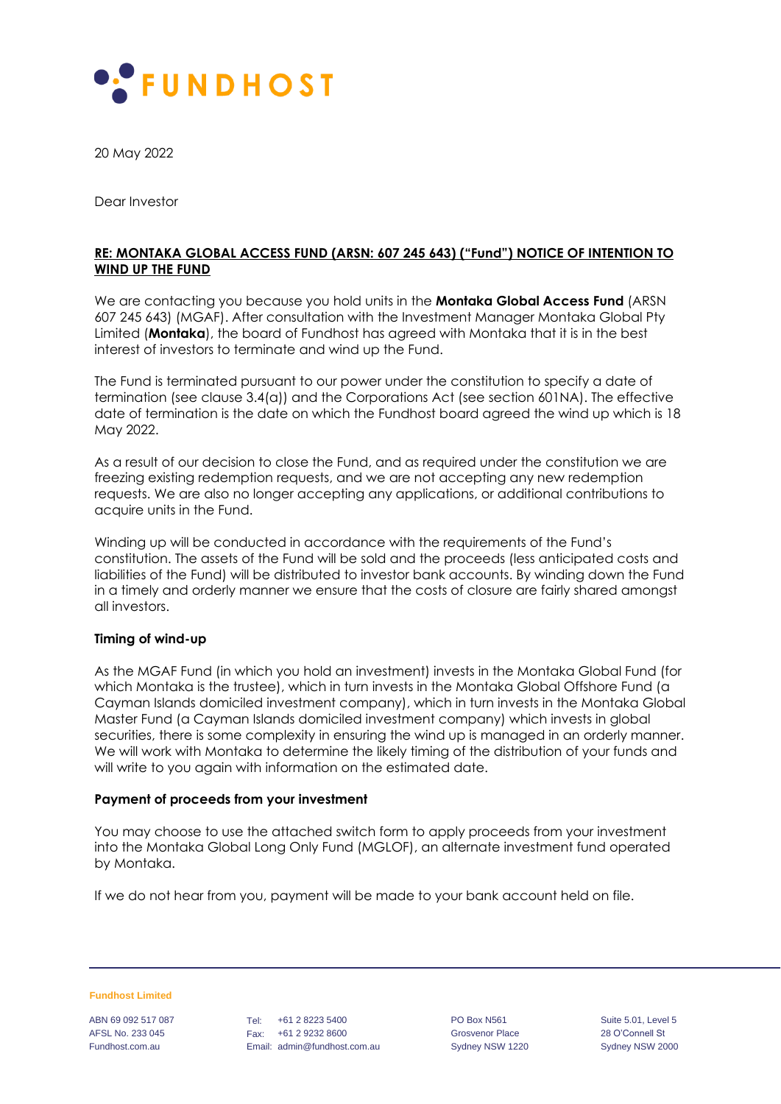

20 May 2022

Dear Investor

## **RE: MONTAKA GLOBAL ACCESS FUND (ARSN: 607 245 643) ("Fund") NOTICE OF INTENTION TO WIND UP THE FUND**

We are contacting you because you hold units in the **Montaka Global Access Fund** (ARSN 607 245 643) (MGAF). After consultation with the Investment Manager Montaka Global Pty Limited (**Montaka**), the board of Fundhost has agreed with Montaka that it is in the best interest of investors to terminate and wind up the Fund.

The Fund is terminated pursuant to our power under the constitution to specify a date of termination (see clause 3.4(a)) and the Corporations Act (see section 601NA). The effective date of termination is the date on which the Fundhost board agreed the wind up which is 18 May 2022.

As a result of our decision to close the Fund, and as required under the constitution we are freezing existing redemption requests, and we are not accepting any new redemption requests. We are also no longer accepting any applications, or additional contributions to acquire units in the Fund.

Winding up will be conducted in accordance with the requirements of the Fund's constitution. The assets of the Fund will be sold and the proceeds (less anticipated costs and liabilities of the Fund) will be distributed to investor bank accounts. By winding down the Fund in a timely and orderly manner we ensure that the costs of closure are fairly shared amongst all investors.

## **Timing of wind-up**

As the MGAF Fund (in which you hold an investment) invests in the Montaka Global Fund (for which Montaka is the trustee), which in turn invests in the Montaka Global Offshore Fund (a Cayman Islands domiciled investment company), which in turn invests in the Montaka Global Master Fund (a Cayman Islands domiciled investment company) which invests in global securities, there is some complexity in ensuring the wind up is managed in an orderly manner. We will work with Montaka to determine the likely timing of the distribution of your funds and will write to you again with information on the estimated date.

#### **Payment of proceeds from your investment**

You may choose to use the attached switch form to apply proceeds from your investment into the Montaka Global Long Only Fund (MGLOF), an alternate investment fund operated by Montaka.

If we do not hear from you, payment will be made to your bank account held on file.

**Fundhost Limited**

ABN 69 092 517 087 AFSL No. 233 045 Fundhost.com.au

Tel: +61 2 8223 5400 Fax: +61 2 9232 8600 Email: admin@fundhost.com.au PO Box N561 Grosvenor Place Sydney NSW 1220 Suite 5.01, Level 5 28 O'Connell St Sydney NSW 2000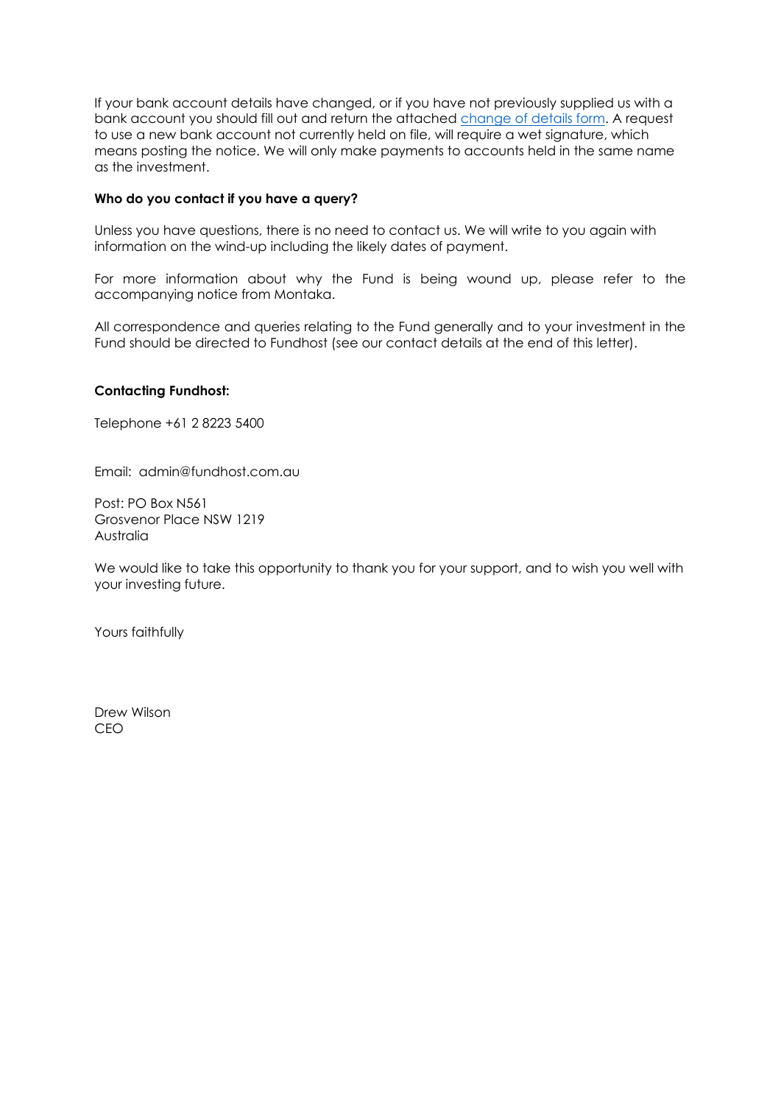If your bank account details have changed, or if you have not previously supplied us with a bank account you should fill out and return the attached [change of details form.](https://fundhost.com.au/wp-content/uploads/2020/11/20201117_Fundhost_Change-of-Details-Request-Form_WRITABLE.pdf) A request to use a new bank account not currently held on file, will require a wet signature, which means posting the notice. We will only make payments to accounts held in the same name as the investment.

## **Who do you contact if you have a query?**

Unless you have questions, there is no need to contact us. We will write to you again with information on the wind-up including the likely dates of payment.

For more information about why the Fund is being wound up, please refer to the accompanying notice from Montaka.

All correspondence and queries relating to the Fund generally and to your investment in the Fund should be directed to Fundhost (see our contact details at the end of this letter).

# **Contacting Fundhost:**

Telephone +61 2 8223 5400

Email: admin@fundhost.com.au

Post: PO Box N561 Grosvenor Place NSW 1219 Australia

We would like to take this opportunity to thank you for your support, and to wish you well with your investing future.

Yours faithfully

Drew Wilson CEO